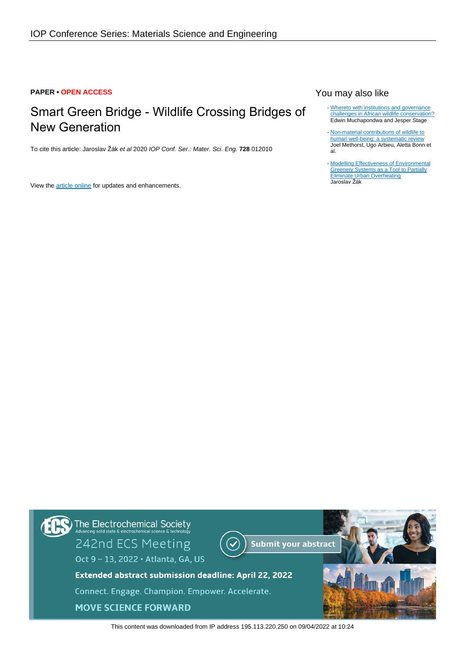#### **PAPER • OPEN ACCESS**

# Smart Green Bridge - Wildlife Crossing Bridges of New Generation

To cite this article: Jaroslav Žák et al 2020 IOP Conf. Ser.: Mater. Sci. Eng. **728** 012010

View the [article online](https://doi.org/10.1088/1757-899X/728/1/012010) for updates and enhancements.

# You may also like

- [Whereto with institutions and governance](/article/10.1088/1748-9326/10/9/095013) [challenges in African wildlife conservation?](/article/10.1088/1748-9326/10/9/095013) Edwin Muchapondwa and Jesper Stage
- [Non-material contributions of wildlife to](/article/10.1088/1748-9326/ab9927) [human well-being: a systematic review](/article/10.1088/1748-9326/ab9927) Joel Methorst, Ugo Arbieu, Aletta Bonn et al.
- [Modelling Effectiveness of Environmental](/article/10.1088/1757-899X/960/4/042100) **[Greenery Systems as a Tool to Partially](/article/10.1088/1757-899X/960/4/042100) [Eliminate Urban Overheating](/article/10.1088/1757-899X/960/4/042100)** Jaroslav Žák -



This content was downloaded from IP address 195.113.220.250 on 09/04/2022 at 10:24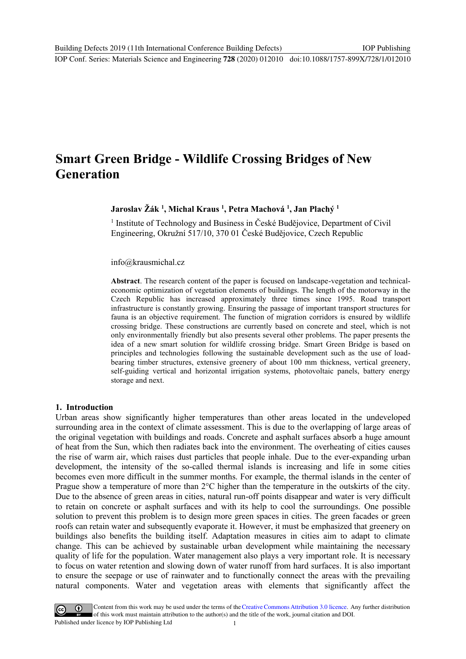IOP Conf. Series: Materials Science and Engineering **728** (2020) 012010 doi:10.1088/1757-899X/728/1/012010

# **Smart Green Bridge - Wildlife Crossing Bridges of New Generation**

**Jaroslav Žák <sup>1</sup> , Michal Kraus <sup>1</sup> , Petra Machová <sup>1</sup> , Jan Plachý <sup>1</sup>**

<sup>1</sup> Institute of Technology and Business in České Budějovice, Department of Civil Engineering, Okružní 517/10, 370 01 České Budějovice, Czech Republic

info@krausmichal.cz

**Abstract**. The research content of the paper is focused on landscape-vegetation and technicaleconomic optimization of vegetation elements of buildings. The length of the motorway in the Czech Republic has increased approximately three times since 1995. Road transport infrastructure is constantly growing. Ensuring the passage of important transport structures for fauna is an objective requirement. The function of migration corridors is ensured by wildlife crossing bridge. These constructions are currently based on concrete and steel, which is not only environmentally friendly but also presents several other problems. The paper presents the idea of a new smart solution for wildlife crossing bridge. Smart Green Bridge is based on principles and technologies following the sustainable development such as the use of loadbearing timber structures, extensive greenery of about 100 mm thickness, vertical greenery, self-guiding vertical and horizontal irrigation systems, photovoltaic panels, battery energy storage and next.

#### **1. Introduction**

Urban areas show significantly higher temperatures than other areas located in the undeveloped surrounding area in the context of climate assessment. This is due to the overlapping of large areas of the original vegetation with buildings and roads. Concrete and asphalt surfaces absorb a huge amount of heat from the Sun, which then radiates back into the environment. The overheating of cities causes the rise of warm air, which raises dust particles that people inhale. Due to the ever-expanding urban development, the intensity of the so-called thermal islands is increasing and life in some cities becomes even more difficult in the summer months. For example, the thermal islands in the center of Prague show a temperature of more than 2°C higher than the temperature in the outskirts of the city. Due to the absence of green areas in cities, natural run-off points disappear and water is very difficult to retain on concrete or asphalt surfaces and with its help to cool the surroundings. One possible solution to prevent this problem is to design more green spaces in cities. The green facades or green roofs can retain water and subsequently evaporate it. However, it must be emphasized that greenery on buildings also benefits the building itself. Adaptation measures in cities aim to adapt to climate change. This can be achieved by sustainable urban development while maintaining the necessary quality of life for the population. Water management also plays a very important role. It is necessary to focus on water retention and slowing down of water runoff from hard surfaces. It is also important to ensure the seepage or use of rainwater and to functionally connect the areas with the prevailing natural components. Water and vegetation areas with elements that significantly affect the

Content from this work may be used under the terms of the Creative Commons Attribution 3.0 licence. Any further distribution of this work must maintain attribution to the author(s) and the title of the work, journal citation and DOI. Published under licence by IOP Publishing Ltd 1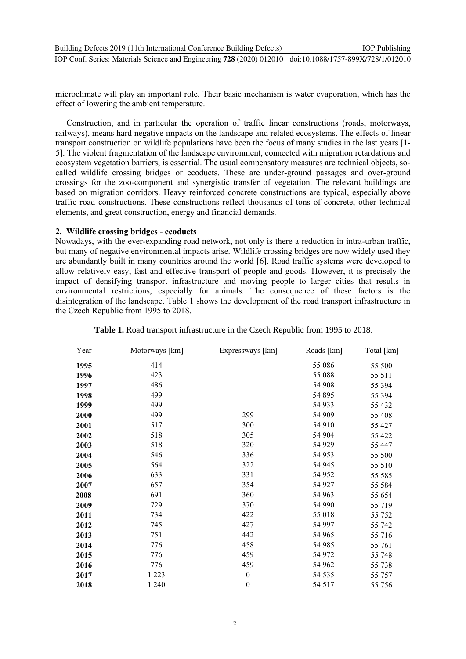microclimate will play an important role. Their basic mechanism is water evaporation, which has the effect of lowering the ambient temperature.

Construction, and in particular the operation of traffic linear constructions (roads, motorways, railways), means hard negative impacts on the landscape and related ecosystems. The effects of linear transport construction on wildlife populations have been the focus of many studies in the last years [1- 5]. The violent fragmentation of the landscape environment, connected with migration retardations and ecosystem vegetation barriers, is essential. The usual compensatory measures are technical objects, socalled wildlife crossing bridges or ecoducts. These are under-ground passages and over-ground crossings for the zoo-component and synergistic transfer of vegetation. The relevant buildings are based on migration corridors. Heavy reinforced concrete constructions are typical, especially above traffic road constructions. These constructions reflect thousands of tons of concrete, other technical elements, and great construction, energy and financial demands.

#### **2. Wildlife crossing bridges - ecoducts**

Nowadays, with the ever-expanding road network, not only is there a reduction in intra-urban traffic, but many of negative environmental impacts arise. Wildlife crossing bridges are now widely used they are abundantly built in many countries around the world [6]. Road traffic systems were developed to allow relatively easy, fast and effective transport of people and goods. However, it is precisely the impact of densifying transport infrastructure and moving people to larger cities that results in environmental restrictions, especially for animals. The consequence of these factors is the disintegration of the landscape. Table 1 shows the development of the road transport infrastructure in the Czech Republic from 1995 to 2018.

| Year | Motorways [km] | Expressways [km] | Roads [km] | Total [km] |
|------|----------------|------------------|------------|------------|
| 1995 | 414            |                  | 55 086     | 55 500     |
| 1996 | 423            |                  | 55 088     | 55 511     |
| 1997 | 486            |                  | 54 908     | 55 394     |
| 1998 | 499            |                  | 54 895     | 55 394     |
| 1999 | 499            |                  | 54 933     | 55 432     |
| 2000 | 499            | 299              | 54 909     | 55 408     |
| 2001 | 517            | 300              | 54 910     | 55 427     |
| 2002 | 518            | 305              | 54 904     | 55 422     |
| 2003 | 518            | 320              | 54 929     | 55 447     |
| 2004 | 546            | 336              | 54 953     | 55 500     |
| 2005 | 564            | 322              | 54 945     | 55 510     |
| 2006 | 633            | 331              | 54 952     | 55 585     |
| 2007 | 657            | 354              | 54 927     | 55 584     |
| 2008 | 691            | 360              | 54 963     | 55 654     |
| 2009 | 729            | 370              | 54 990     | 55 719     |
| 2011 | 734            | 422              | 55 018     | 55 752     |
| 2012 | 745            | 427              | 54 997     | 55 742     |
| 2013 | 751            | 442              | 54 965     | 55 716     |
| 2014 | 776            | 458              | 54 985     | 55 761     |
| 2015 | 776            | 459              | 54 972     | 55 748     |
| 2016 | 776            | 459              | 54 962     | 55 738     |
| 2017 | 1 2 2 3        | $\boldsymbol{0}$ | 54 5 35    | 55 757     |
| 2018 | 1 2 4 0        | $\boldsymbol{0}$ | 54 517     | 55 756     |

**Table 1.** Road transport infrastructure in the Czech Republic from 1995 to 2018.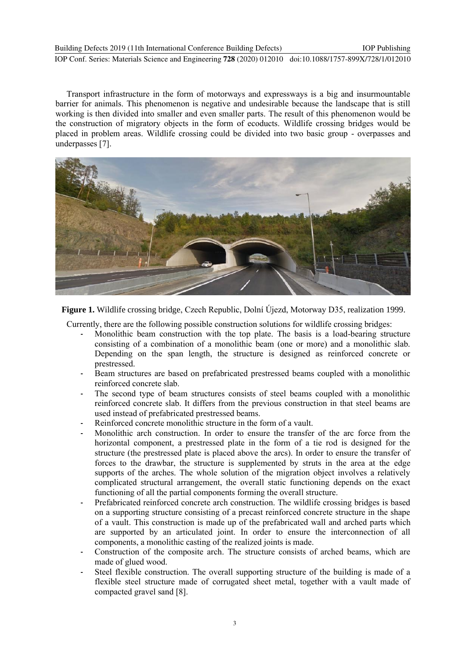Building Defects 2019 (11th International Conference Building Defects)

IOP Conf. Series: Materials Science and Engineering **728** (2020) 012010 doi:10.1088/1757-899X/728/1/012010

Transport infrastructure in the form of motorways and expressways is a big and insurmountable barrier for animals. This phenomenon is negative and undesirable because the landscape that is still working is then divided into smaller and even smaller parts. The result of this phenomenon would be the construction of migratory objects in the form of ecoducts. Wildlife crossing bridges would be placed in problem areas. Wildlife crossing could be divided into two basic group - overpasses and underpasses [7].



**Figure 1.** Wildlife crossing bridge, Czech Republic, Dolní Újezd, Motorway D35, realization 1999.

Currently, there are the following possible construction solutions for wildlife crossing bridges:

- Monolithic beam construction with the top plate. The basis is a load-bearing structure consisting of a combination of a monolithic beam (one or more) and a monolithic slab. Depending on the span length, the structure is designed as reinforced concrete or prestressed.
- Beam structures are based on prefabricated prestressed beams coupled with a monolithic reinforced concrete slab.
- The second type of beam structures consists of steel beams coupled with a monolithic reinforced concrete slab. It differs from the previous construction in that steel beams are used instead of prefabricated prestressed beams.
- Reinforced concrete monolithic structure in the form of a vault.
- Monolithic arch construction. In order to ensure the transfer of the arc force from the horizontal component, a prestressed plate in the form of a tie rod is designed for the structure (the prestressed plate is placed above the arcs). In order to ensure the transfer of forces to the drawbar, the structure is supplemented by struts in the area at the edge supports of the arches. The whole solution of the migration object involves a relatively complicated structural arrangement, the overall static functioning depends on the exact functioning of all the partial components forming the overall structure.
- Prefabricated reinforced concrete arch construction. The wildlife crossing bridges is based on a supporting structure consisting of a precast reinforced concrete structure in the shape of a vault. This construction is made up of the prefabricated wall and arched parts which are supported by an articulated joint. In order to ensure the interconnection of all components, a monolithic casting of the realized joints is made.
- Construction of the composite arch. The structure consists of arched beams, which are made of glued wood.
- Steel flexible construction. The overall supporting structure of the building is made of a flexible steel structure made of corrugated sheet metal, together with a vault made of compacted gravel sand [8].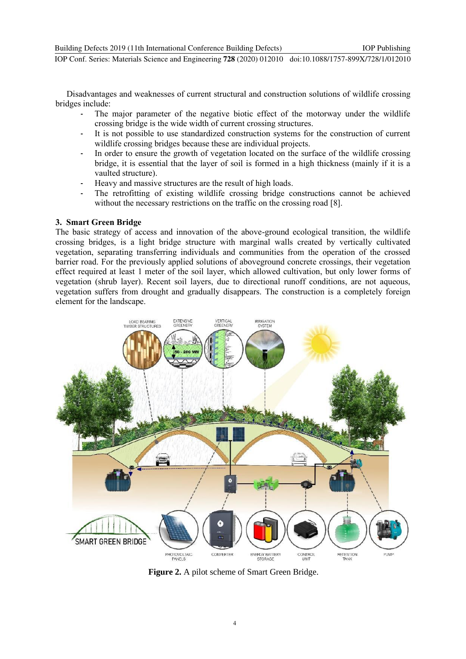Disadvantages and weaknesses of current structural and construction solutions of wildlife crossing bridges include:

- The major parameter of the negative biotic effect of the motorway under the wildlife crossing bridge is the wide width of current crossing structures.
- It is not possible to use standardized construction systems for the construction of current wildlife crossing bridges because these are individual projects.
- In order to ensure the growth of vegetation located on the surface of the wildlife crossing bridge, it is essential that the layer of soil is formed in a high thickness (mainly if it is a vaulted structure).
- Heavy and massive structures are the result of high loads.
- The retrofitting of existing wildlife crossing bridge constructions cannot be achieved without the necessary restrictions on the traffic on the crossing road [8].

# **3. Smart Green Bridge**

The basic strategy of access and innovation of the above-ground ecological transition, the wildlife crossing bridges, is a light bridge structure with marginal walls created by vertically cultivated vegetation, separating transferring individuals and communities from the operation of the crossed barrier road. For the previously applied solutions of aboveground concrete crossings, their vegetation effect required at least 1 meter of the soil layer, which allowed cultivation, but only lower forms of vegetation (shrub layer). Recent soil layers, due to directional runoff conditions, are not aqueous, vegetation suffers from drought and gradually disappears. The construction is a completely foreign element for the landscape.



**Figure 2.** A pilot scheme of Smart Green Bridge.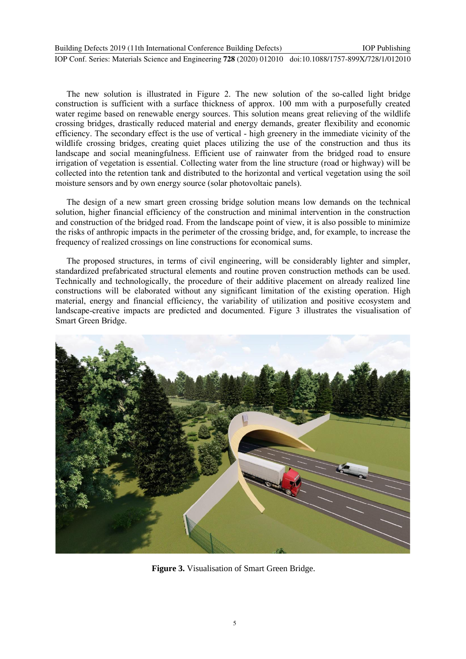The new solution is illustrated in Figure 2. The new solution of the so-called light bridge construction is sufficient with a surface thickness of approx. 100 mm with a purposefully created water regime based on renewable energy sources. This solution means great relieving of the wildlife crossing bridges, drastically reduced material and energy demands, greater flexibility and economic efficiency. The secondary effect is the use of vertical - high greenery in the immediate vicinity of the wildlife crossing bridges, creating quiet places utilizing the use of the construction and thus its landscape and social meaningfulness. Efficient use of rainwater from the bridged road to ensure irrigation of vegetation is essential. Collecting water from the line structure (road or highway) will be collected into the retention tank and distributed to the horizontal and vertical vegetation using the soil moisture sensors and by own energy source (solar photovoltaic panels).

The design of a new smart green crossing bridge solution means low demands on the technical solution, higher financial efficiency of the construction and minimal intervention in the construction and construction of the bridged road. From the landscape point of view, it is also possible to minimize the risks of anthropic impacts in the perimeter of the crossing bridge, and, for example, to increase the frequency of realized crossings on line constructions for economical sums.

The proposed structures, in terms of civil engineering, will be considerably lighter and simpler, standardized prefabricated structural elements and routine proven construction methods can be used. Technically and technologically, the procedure of their additive placement on already realized line constructions will be elaborated without any significant limitation of the existing operation. High material, energy and financial efficiency, the variability of utilization and positive ecosystem and landscape-creative impacts are predicted and documented. Figure 3 illustrates the visualisation of Smart Green Bridge.



**Figure 3.** Visualisation of Smart Green Bridge.